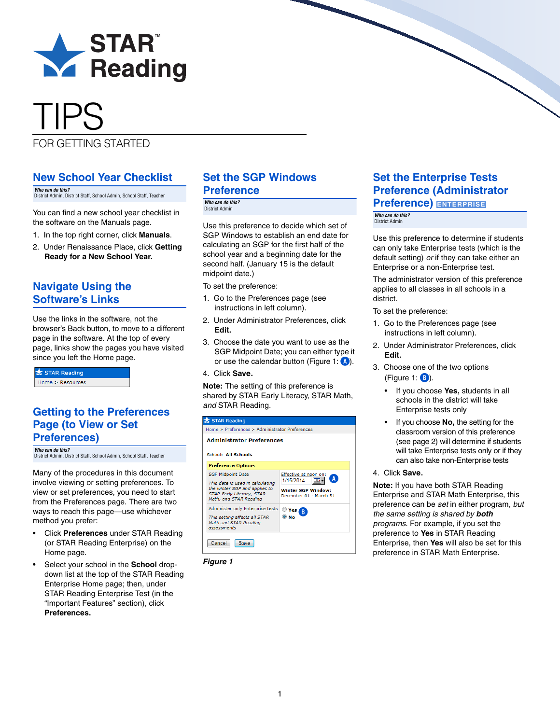

# TIPS

FOR GETTING STARTED

#### **New School Year Checklist**

*Who can do this?*  District Admin, District Staff, School Admin, School Staff, Teacher

You can find a new school year checklist in the software on the Manuals page.

- 1. In the top right corner, click **Manuals**.
- 2. Under Renaissance Place, click **Getting Ready for a New School Year.**

## **Navigate Using the Software's Links**

Use the links in the software, not the browser's Back button, to move to a different page in the software. At the top of every page, links show the pages you have visited since you left the Home page.

| STAR Reading     |  |
|------------------|--|
| Home > Resources |  |

#### <span id="page-0-0"></span>**Getting to the Preferences Page (to View or Set Preferences)**

*Who can do this?*  District Admin, District Staff, School Admin, School Staff, Teacher

Many of the procedures in this document involve viewing or setting preferences. To view or set preferences, you need to start from the Preferences page. There are two ways to reach this page—use whichever method you prefer:

- Click **Preferences** under STAR Reading (or STAR Reading Enterprise) on the Home page.
- Select your school in the **School** dropdown list at the top of the STAR Reading Enterprise Home page; then, under STAR Reading Enterprise Test (in the "Important Features" section), click **Preferences.**

# **Set the SGP Windows Preference**

*Who can do this?* 

Use this preference to decide which set of SGP Windows to establish an end date for calculating an SGP for the first half of the school year and a beginning date for the second half. (January 15 is the default midpoint date.)

To set the preference:

- 1. Go to the Preferences page (see instructions in left column).
- 2. Under Administrator Preferences, click **Edit.**
- 3. Choose the date you want to use as the SGP Midpoint Date; you can either type it or use the calendar button (Figure 1: **A**).
- 4. Click **Save.**

**Note:** The setting of this preference is shared by STAR Early Literacy, STAR Math, *and* STAR Reading.

|                                                         | STAR Reading                                                                                                                                         |                                                                                                |  |  |  |  |
|---------------------------------------------------------|------------------------------------------------------------------------------------------------------------------------------------------------------|------------------------------------------------------------------------------------------------|--|--|--|--|
|                                                         | Home > Preferences > Administrator Preferences                                                                                                       |                                                                                                |  |  |  |  |
| <b>Administrator Preferences</b><br>School: All Schools |                                                                                                                                                      |                                                                                                |  |  |  |  |
|                                                         | <b>Preference Options</b>                                                                                                                            |                                                                                                |  |  |  |  |
|                                                         | <b>SGP Midpoint Date</b><br>This date is used in calculating<br>the winter SGP and applies to<br>STAR Early Literacy, STAR<br>Math, and STAR Reading | Effective at noon on:<br>Α<br>1/15/2014<br><b>Winter SGP Window:</b><br>December 01 - March 31 |  |  |  |  |
|                                                         | Administer only Enterprise tests<br>This setting affects all STAR<br>Math and STAR Reading<br>assessments                                            | Yes<br>B.                                                                                      |  |  |  |  |
|                                                         | Cancel<br>Save                                                                                                                                       |                                                                                                |  |  |  |  |



# **Set the Enterprise Tests Preference (Administrator Preference) ENTERPRISE**

*Who can do this?*  District Admin

Use this preference to determine if students can only take Enterprise tests (which is the default setting) *or* if they can take either an Enterprise or a non-Enterprise test.

The administrator version of this preference applies to all classes in all schools in a district.

To set the preference:

- 1. Go to the Preferences page (see instructions in left column).
- 2. Under Administrator Preferences, click **Edit.**
- 3. Choose one of the two options (Figure 1: **B**).
	- If you choose **Yes,** students in all schools in the district will take Enterprise tests only
	- If you choose **No,** the setting for the classroom version of this preference (see page [2](#page-1-0)) will determine if students will take Enterprise tests only or if they can also take non-Enterprise tests
- 4. Click **Save.**

**Note:** If you have both STAR Reading Enterprise and STAR Math Enterprise, this preference can be *set* in either program, *but the same setting is shared by both programs.* For example, if you set the preference to **Yes** in STAR Reading Enterprise, then **Yes** will also be set for this preference in STAR Math Enterprise.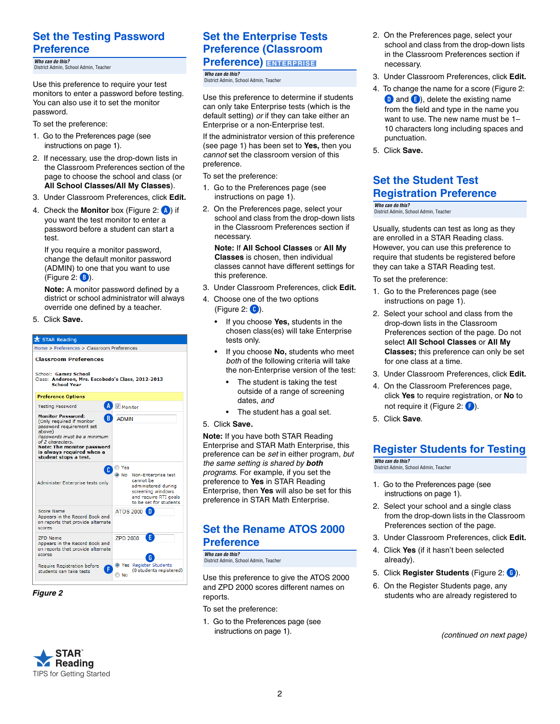## **Set the Testing Password Preference**

*Who can do this?* 

Use this preference to require your test monitors to enter a password before testing. You can also use it to set the monitor password.

To set the preference:

- 1. Go to the Preferences page (see instructions on page [1](#page-0-0)).
- 2. If necessary, use the drop-down lists in the Classroom Preferences section of the page to choose the school and class (or **All School Classes/All My Classes**).
- 3. Under Classroom Preferences, click **Edit.**
- 4. Check the **Monitor** box (Figure 2: **A**) if you want the test monitor to enter a password before a student can start a test.

If you require a monitor password, change the default monitor password (ADMIN) to one that you want to use (Figure 2: **B**).

**Note:** A monitor password defined by a district or school administrator will always override one defined by a teacher.

5. Click **Save.** 



#### *Figure 2*



# **Set the Enterprise Tests Preference (Classroom Who can do this?**<br>District Admin, School Admin, Teacher **ENTERPRISE**

<span id="page-1-0"></span>*Who can do this?*  District Admin, School Admin, Teacher

Use this preference to determine if students can only take Enterprise tests (which is the default setting) *or* if they can take either an Enterprise or a non-Enterprise test.

If the administrator version of this preference (see page 1) has been set to **Yes,** then you *cannot* set the classroom version of this preference.

To set the preference:

- 1. Go to the Preferences page (see instructions on page [1\)](#page-0-0).
- 2. On the Preferences page, select your school and class from the drop-down lists in the Classroom Preferences section if necessary.

**Note:** If **All School Classes** or **All My Classes** is chosen, then individual classes cannot have different settings for this preference.

- 3. Under Classroom Preferences, click **Edit.**
- 4. Choose one of the two options (Figure 2: **C**).
	- If you choose **Yes,** students in the chosen class(es) will take Enterprise tests only.
	- If you choose **No,** students who meet *both* of the following criteria will take the non-Enterprise version of the test:
		- The student is taking the test outside of a range of screening dates, *and*
		- The student has a goal set.
- 5. Click **Save.**

**Note:** If you have both STAR Reading Enterprise and STAR Math Enterprise, this preference can be *set* in either program, *but the same setting is shared by both programs.* For example, if you set the preference to **Yes** in STAR Reading Enterprise, then **Yes** will also be set for this preference in STAR Math Enterprise.

#### **Set the Rename ATOS 2000 Preference**

*Who can do this?*  District Admin, School Admin, Teacher

Use this preference to give the ATOS 2000 and ZPD 2000 scores different names on reports.

- To set the preference:
- 1. Go to the Preferences page (see instructions on page [1](#page-0-0)).
- 2. On the Preferences page, select your school and class from the drop-down lists in the Classroom Preferences section if necessary.
- 3. Under Classroom Preferences, click **Edit.**
- 4. To change the name for a score (Figure 2: **D** and **E**), delete the existing name from the field and type in the name you want to use. The new name must be 1– 10 characters long including spaces and punctuation.
- 5. Click **Save.**

#### **Set the Student Test Registration Preference**

*Who can do this?*  District Admin, School Admin, Teacher

Usually, students can test as long as they are enrolled in a STAR Reading class. However, you can use this preference to require that students be registered before they can take a STAR Reading test.

To set the preference:

- 1. Go to the Preferences page (see instructions on page [1\)](#page-0-0).
- 2. Select your school and class from the drop-down lists in the Classroom Preferences section of the page. Do not select **All School Classes** or **All My Classes;** this preference can only be set for one class at a time.
- 3. Under Classroom Preferences, click **Edit.**
- 4. On the Classroom Preferences page, click **Yes** to require registration, or **No** to not require it (Figure 2: **F**).
- 5. Click **Save**.

# **Register Students for Testing**

*Who can do this?*  District Admin, School Admin, Teacher

- 1. Go to the Preferences page (see instructions on page [1](#page-0-0)).
- 2. Select your school and a single class from the drop-down lists in the Classroom Preferences section of the page.
- 3. Under Classroom Preferences, click **Edit.**
- 4. Click **Yes** (if it hasn't been selected already).
- 5. Click **Register Students** (Figure 2: **G**).
- 6. On the Register Students page, any students who are already registered to

*(continued on next page)*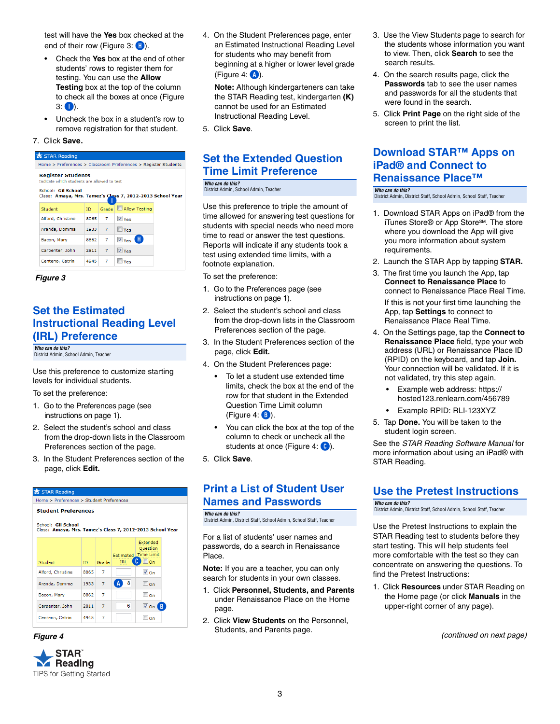test will have the **Yes** box checked at the end of their row (Figure 3: **H**).

- Check the **Yes** box at the end of other students' rows to register them for testing. You can use the **Allow Testing** box at the top of the column to check all the boxes at once (Figure  $3:$   $\bullet$ ).
- Uncheck the box in a student's row to remove registration for that student.

#### 7. Click **Save.**





#### **Set the Estimated Instructional Reading Level (IRL) Preference**

*Who can do this?*  District Admin, School Admin, Teacher

Use this preference to customize starting levels for individual students.

To set the preference:

- 1. Go to the Preferences page (see instructions on page [1](#page-0-0)).
- 2. Select the student's school and class from the drop-down lists in the Classroom Preferences section of the page.
- 3. In the Student Preferences section of the page, click **Edit.**





4. On the Student Preferences page, enter an Estimated Instructional Reading Level for students who may benefit from beginning at a higher or lower level grade (Figure 4: **A**).

**Note:** Although kindergarteners can take the STAR Reading test, kindergarten **(K)** cannot be used for an Estimated Instructional Reading Level.

5. Click **Save**.

#### **Set the Extended Question Time Limit Preference**

*Who can do this?*  District Admin, School Admin, Teacher

Use this preference to triple the amount of time allowed for answering test questions for students with special needs who need more time to read or answer the test questions. Reports will indicate if any students took a test using extended time limits, with a footnote explanation.

To set the preference:

- 1. Go to the Preferences page (see instructions on page [1](#page-0-0)).
- 2. Select the student's school and class from the drop-down lists in the Classroom Preferences section of the page.
- 3. In the Student Preferences section of the page, click **Edit.**
- 4. On the Student Preferences page:
	- To let a student use extended time limits, check the box at the end of the row for that student in the Extended Question Time Limit column (Figure 4: **B**).
	- You can click the box at the top of the column to check or uncheck all the students at once (Figure 4: **C**).
- 5. Click **Save**.

#### **Print a List of Student User Names and Passwords**

*Who can do this?*  District Admin, District Staff, School Admin, School Staff, Teacher

For a list of students' user names and passwords, do a search in Renaissance Place.

**Note:** If you are a teacher, you can only search for students in your own classes.

- 1. Click **Personnel, Students, and Parents** under Renaissance Place on the Home page.
- 2. Click **View Students** on the Personnel, Students, and Parents page.
- 3. Use the View Students page to search for the students whose information you want to view. Then, click **Search** to see the search results.
- 4. On the search results page, click the **Passwords** tab to see the user names and passwords for all the students that were found in the search.
- 5. Click **Print Page** on the right side of the screen to print the list.

#### **Download STAR™ Apps on iPad® and Connect to Renaissance Place™**

- *Who can do this?*  District Admin, District Staff, School Admin, School Staff, Teacher
- 1. Download STAR Apps on iPad® from the iTunes Store® or App Store<sup>sM</sup>. The store where you download the App will give you more information about system requirements.
- 2. Launch the STAR App by tapping **STAR.**
- 3. The first time you launch the App, tap **Connect to Renaissance Place** to connect to Renaissance Place Real Time. If this is not your first time launching the App, tap **Settings** to connect to Renaissance Place Real Time.
- 4. On the Settings page, tap the **Connect to Renaissance Place** field, type your web address (URL) or Renaissance Place ID (RPID) on the keyboard, and tap **Join.** Your connection will be validated. If it is not validated, try this step again.
	- [Example web address: https://](http://) hosted123.renlearn.com/456789
	- Example RPID: RLI-123XYZ
- 5. Tap **Done.** You will be taken to the student login screen.

See the *STAR Reading Software Manual* for more information about using an iPad® with STAR Reading.

#### **Use the Pretest Instructions**

*Who can do this?*  District Admin, District Staff, School Admin, School Staff, Teacher

Use the Pretest Instructions to explain the STAR Reading test to students before they start testing. This will help students feel more comfortable with the test so they can concentrate on answering the questions. To find the Pretest Instructions:

1. Click **Resources** under STAR Reading on the Home page (or click **Manuals** in the upper-right corner of any page).

*Figure 4 (continued on next page)*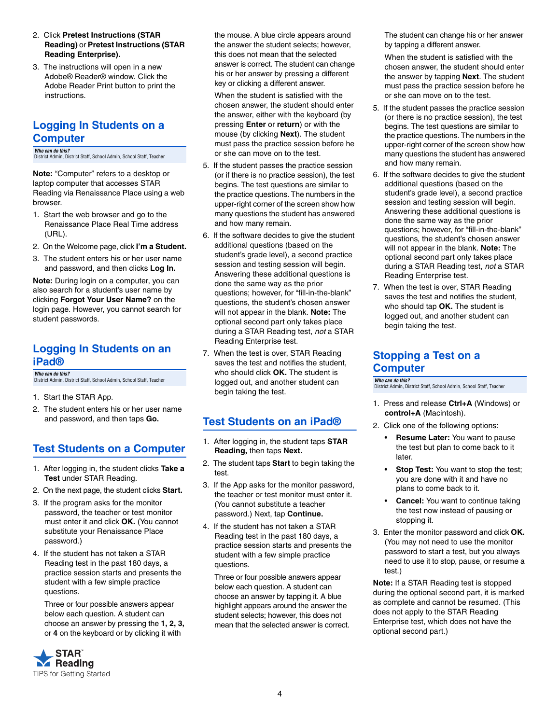- 2. Click **Pretest Instructions (STAR Reading)** or **Pretest Instructions (STAR Reading Enterprise).**
- 3. The instructions will open in a new Adobe® Reader® window. Click the Adobe Reader Print button to print the instructions.

## **Logging In Students on a Computer**

*Who can do this?*  District Admin, District Staff, School Admin, School Staff, Teacher

**Note:** "Computer" refers to a desktop or laptop computer that accesses STAR Reading via Renaissance Place using a web browser.

- 1. Start the web browser and go to the Renaissance Place Real Time address (URL).
- 2. On the Welcome page, click **I'm a Student.**
- 3. The student enters his or her user name and password, and then clicks **Log In.**

**Note:** During login on a computer, you can also search for a student's user name by clicking **Forgot Your User Name?** on the login page. However, you cannot search for student passwords.

#### **Logging In Students on an iPad®**

*Who can do this?* 

- 1. Start the STAR App.
- 2. The student enters his or her user name and password, and then taps **Go.**

# **Test Students on a Computer**

- 1. After logging in, the student clicks **Take a Test** under STAR Reading.
- 2. On the next page, the student clicks **Start.**
- 3. If the program asks for the monitor password, the teacher or test monitor must enter it and click **OK.** (You cannot substitute your Renaissance Place password.)
- 4. If the student has not taken a STAR Reading test in the past 180 days, a practice session starts and presents the student with a few simple practice questions.

Three or four possible answers appear below each question. A student can choose an answer by pressing the **1, 2, 3,** or **4** on the keyboard or by clicking it with



the mouse. A blue circle appears around the answer the student selects; however, this does not mean that the selected answer is correct. The student can change his or her answer by pressing a different key or clicking a different answer.

When the student is satisfied with the chosen answer, the student should enter the answer, either with the keyboard (by pressing **Enter** or **return**) or with the mouse (by clicking **Next**). The student must pass the practice session before he or she can move on to the test.

- 5. If the student passes the practice session (or if there is no practice session), the test begins. The test questions are similar to the practice questions. The numbers in the upper-right corner of the screen show how many questions the student has answered and how many remain.
- 6. If the software decides to give the student additional questions (based on the student's grade level), a second practice session and testing session will begin. Answering these additional questions is done the same way as the prior questions; however, for "fill-in-the-blank" questions, the student's chosen answer will not appear in the blank. **Note:** The optional second part only takes place during a STAR Reading test, *not* a STAR Reading Enterprise test.
- 7. When the test is over, STAR Reading saves the test and notifies the student, who should click **OK.** The student is District Admin, District Staff, School Admin, School Staff, Teacher **Musical Contact Can do the State of the Can** do the Can do the Staff detain. District Admin and the Can do the Can do the Can do the Can do the Can do th begin taking the test.

#### **Test Students on an iPad®**

- 1. After logging in, the student taps **STAR Reading,** then taps **Next.**
- 2. The student taps **Start** to begin taking the test.
- 3. If the App asks for the monitor password, the teacher or test monitor must enter it. (You cannot substitute a teacher password.) Next, tap **Continue.**
- 4. If the student has not taken a STAR Reading test in the past 180 days, a practice session starts and presents the student with a few simple practice questions.

Three or four possible answers appear below each question. A student can choose an answer by tapping it. A blue highlight appears around the answer the student selects; however, this does not mean that the selected answer is correct. The student can change his or her answer by tapping a different answer.

When the student is satisfied with the chosen answer, the student should enter the answer by tapping **Next**. The student must pass the practice session before he or she can move on to the test.

- 5. If the student passes the practice session (or there is no practice session), the test begins. The test questions are similar to the practice questions. The numbers in the upper-right corner of the screen show how many questions the student has answered and how many remain.
- 6. If the software decides to give the student additional questions (based on the student's grade level), a second practice session and testing session will begin. Answering these additional questions is done the same way as the prior questions; however, for "fill-in-the-blank" questions, the student's chosen answer will not appear in the blank. **Note:** The optional second part only takes place during a STAR Reading test, *not* a STAR Reading Enterprise test.
- 7. When the test is over, STAR Reading saves the test and notifies the student, who should tap **OK.** The student is logged out, and another student can begin taking the test.

#### **Stopping a Test on a Computer**

District Admin, District Staff, School Admin, School Staff, Teacher

- 1. Press and release **Ctrl+A** (Windows) or **control+A** (Macintosh).
- 2. Click one of the following options:
	- **Resume Later:** You want to pause the test but plan to come back to it later.
	- **Stop Test:** You want to stop the test; you are done with it and have no plans to come back to it.
	- **Cancel:** You want to continue taking the test now instead of pausing or stopping it.
- 3. Enter the monitor password and click **OK.** (You may not need to use the monitor password to start a test, but you always need to use it to stop, pause, or resume a test.)

**Note:** If a STAR Reading test is stopped during the optional second part, it is marked as complete and cannot be resumed. (This does not apply to the STAR Reading Enterprise test, which does not have the optional second part.)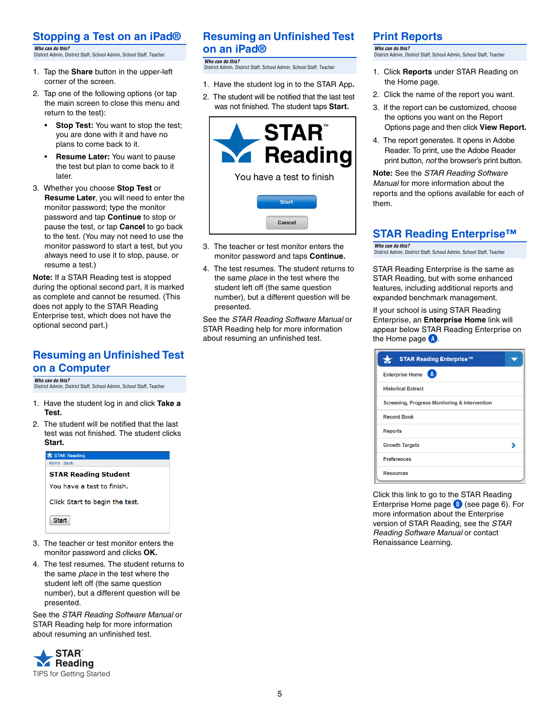#### **Stopping a Test on an iPad®**

*Who can do this?*  District Admin, District Staff, School Admin, School Staff, Teacher

- 1. Tap the **Share** button in the upper-left corner of the screen.
- 2. Tap one of the following options (or tap the main screen to close this menu and return to the test):
	- **Stop Test:** You want to stop the test; you are done with it and have no plans to come back to it.
	- **Resume Later:** You want to pause the test but plan to come back to it later.
- 3. Whether you choose **Stop Test** or **Resume Later**, you will need to enter the monitor password; type the monitor password and tap **Continue** to stop or pause the test, or tap **Cancel** to go back to the test. (You may not need to use the monitor password to start a test, but you always need to use it to stop, pause, or resume a test.)

**Note:** If a STAR Reading test is stopped during the optional second part, it is marked as complete and cannot be resumed. (This does not apply to the STAR Reading Enterprise test, which does not have the optional second part.)

#### **Resuming an Unfinished Test on a Computer**

*Who can do this?*  District Admin, District Staff, School Admin, School Staff, Teacher

- 1. Have the student log in and click **Take a Test.**
- 2. The student will be notified that the last test was not finished. The student clicks **Start.**

| Home, Back<br><b>STAR Reading Student</b><br>You have a test to finish.<br>Click Start to begin the test. | STAR Reading |  |
|-----------------------------------------------------------------------------------------------------------|--------------|--|
|                                                                                                           |              |  |
|                                                                                                           |              |  |
|                                                                                                           |              |  |
|                                                                                                           |              |  |
|                                                                                                           | <b>Start</b> |  |

- 3. The teacher or test monitor enters the monitor password and clicks **OK.**
- 4. The test resumes. The student returns to the same *place* in the test where the student left off (the same question number), but a different question will be presented.

See the *STAR Reading Software Manual* or STAR Reading help for more information about resuming an unfinished test.



# **Resuming an Unfinished Test on an iPad®**

*Who can do this?*  .....<br>1. District Staff, School Admin, School Staff, Teache

- 1. Have the student log in to the STAR App**.**
- 2. The student will be notified that the last test was not finished. The student taps **Start.**



- 3. The teacher or test monitor enters the monitor password and taps **Continue.**
- 4. The test resumes. The student returns to the same *place* in the test where the student left off (the same question number), but a different question will be presented.

See the *STAR Reading Software Manual* or STAR Reading help for more information about resuming an unfinished test.

## **Print Reports**

*Who can do this?*  District Admin, District Staff, School Admin, School Staff, Teacher

- 1. Click **Reports** under STAR Reading on the Home page.
- 2. Click the name of the report you want.
- 3. If the report can be customized, choose the options you want on the Report Options page and then click **View Report.**
- 4. The report generates. It opens in Adobe Reader. To print, use the Adobe Reader print button, *not* the browser's print button.

**Note:** See the *STAR Reading Software Manual* for more information about the reports and the options available for each of them.

# **STAR Reading Enterprise™**

*Who can do this?*  District Admin, District Staff, School Admin, School Staff, Teacher

STAR Reading Enterprise is the same as STAR Reading, but with some enhanced features, including additional reports and expanded benchmark management.

If your school is using STAR Reading Enterprise, an **Enterprise Home** link will appear below STAR Reading Enterprise on the Home page **A**.

| <b>STAR Reading Enterprise™</b>               |  |
|-----------------------------------------------|--|
| (A<br><b>Enterprise Home</b>                  |  |
| <b>Historical Extract</b>                     |  |
| Screening, Progress Monitoring & Intervention |  |
| <b>Record Book</b>                            |  |
| <b>Reports</b>                                |  |
| <b>Growth Targets</b>                         |  |
| <b>Preferences</b>                            |  |
| <b>Resources</b>                              |  |

Click this link to go to the STAR Reading Enterprise Home page **B** (see page [6](#page-5-0)). For more information about the Enterprise version of STAR Reading, see the *STAR Reading Software Manual* or contact Renaissance Learning.